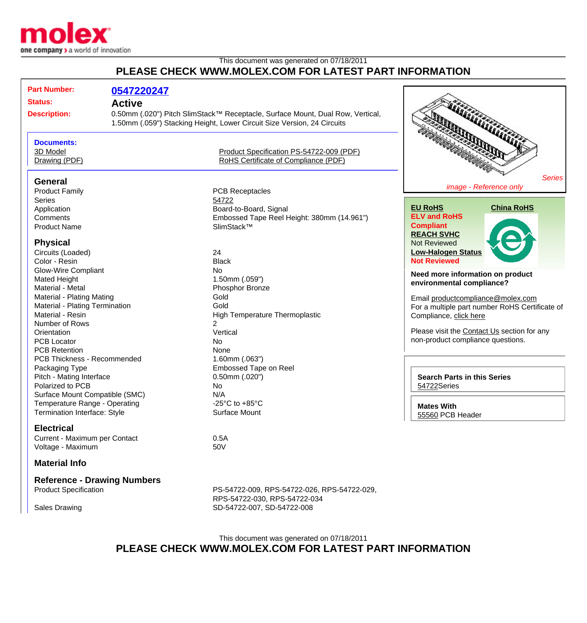

## This document was generated on 07/18/2011 **PLEASE CHECK WWW.MOLEX.COM FOR LATEST PART INFORMATION**

| <b>Status:</b><br><b>Active</b><br>0.50mm (.020") Pitch SlimStack™ Receptacle, Surface Mount, Dual Row, Vertical,<br><b>Description:</b><br>1.50mm (.059") Stacking Height, Lower Circuit Size Version, 24 Circuits<br><b>Documents:</b><br>3D Model<br>Product Specification PS-54722-009 (PDF)<br>RoHS Certificate of Compliance (PDF)<br>Drawing (PDF)<br><b>General</b><br>image - Reference only<br><b>Product Family</b><br><b>PCB Receptacles</b><br>Series<br>54722<br><b>EU RoHS</b><br><b>China RoHS</b><br>Board-to-Board, Signal<br>Application<br><b>ELV and RoHS</b><br>Comments<br>Embossed Tape Reel Height: 380mm (14.961")<br><b>Compliant</b><br>SlimStack™<br><b>Product Name</b><br><b>REACH SVHC</b><br><b>Physical</b><br>Not Reviewed<br><b>Low-Halogen Status</b><br>24<br>Circuits (Loaded)<br><b>Not Reviewed</b><br>Color - Resin<br><b>Black</b><br><b>Glow-Wire Compliant</b><br><b>No</b><br>Need more information on product<br>1.50mm (.059")<br><b>Mated Height</b><br>environmental compliance?<br>Material - Metal<br>Phosphor Bronze<br>Gold<br>Material - Plating Mating<br>Email productcompliance@molex.com<br>Gold<br>Material - Plating Termination<br>For a multiple part number RoHS Certificate of<br>Material - Resin<br><b>High Temperature Thermoplastic</b><br>Compliance, click here<br>$\overline{2}$<br>Number of Rows<br>Please visit the Contact Us section for any<br>Vertical<br>Orientation<br>non-product compliance questions.<br><b>PCB Locator</b><br><b>No</b><br><b>PCB Retention</b><br>None<br>PCB Thickness - Recommended<br>$1.60$ mm $(.063")$<br><b>Embossed Tape on Reel</b><br>Packaging Type |               |
|----------------------------------------------------------------------------------------------------------------------------------------------------------------------------------------------------------------------------------------------------------------------------------------------------------------------------------------------------------------------------------------------------------------------------------------------------------------------------------------------------------------------------------------------------------------------------------------------------------------------------------------------------------------------------------------------------------------------------------------------------------------------------------------------------------------------------------------------------------------------------------------------------------------------------------------------------------------------------------------------------------------------------------------------------------------------------------------------------------------------------------------------------------------------------------------------------------------------------------------------------------------------------------------------------------------------------------------------------------------------------------------------------------------------------------------------------------------------------------------------------------------------------------------------------------------------------------------------------------------------------------------------------------------------|---------------|
|                                                                                                                                                                                                                                                                                                                                                                                                                                                                                                                                                                                                                                                                                                                                                                                                                                                                                                                                                                                                                                                                                                                                                                                                                                                                                                                                                                                                                                                                                                                                                                                                                                                                      |               |
|                                                                                                                                                                                                                                                                                                                                                                                                                                                                                                                                                                                                                                                                                                                                                                                                                                                                                                                                                                                                                                                                                                                                                                                                                                                                                                                                                                                                                                                                                                                                                                                                                                                                      |               |
|                                                                                                                                                                                                                                                                                                                                                                                                                                                                                                                                                                                                                                                                                                                                                                                                                                                                                                                                                                                                                                                                                                                                                                                                                                                                                                                                                                                                                                                                                                                                                                                                                                                                      |               |
|                                                                                                                                                                                                                                                                                                                                                                                                                                                                                                                                                                                                                                                                                                                                                                                                                                                                                                                                                                                                                                                                                                                                                                                                                                                                                                                                                                                                                                                                                                                                                                                                                                                                      |               |
|                                                                                                                                                                                                                                                                                                                                                                                                                                                                                                                                                                                                                                                                                                                                                                                                                                                                                                                                                                                                                                                                                                                                                                                                                                                                                                                                                                                                                                                                                                                                                                                                                                                                      |               |
|                                                                                                                                                                                                                                                                                                                                                                                                                                                                                                                                                                                                                                                                                                                                                                                                                                                                                                                                                                                                                                                                                                                                                                                                                                                                                                                                                                                                                                                                                                                                                                                                                                                                      | <b>Series</b> |
|                                                                                                                                                                                                                                                                                                                                                                                                                                                                                                                                                                                                                                                                                                                                                                                                                                                                                                                                                                                                                                                                                                                                                                                                                                                                                                                                                                                                                                                                                                                                                                                                                                                                      |               |
|                                                                                                                                                                                                                                                                                                                                                                                                                                                                                                                                                                                                                                                                                                                                                                                                                                                                                                                                                                                                                                                                                                                                                                                                                                                                                                                                                                                                                                                                                                                                                                                                                                                                      |               |
|                                                                                                                                                                                                                                                                                                                                                                                                                                                                                                                                                                                                                                                                                                                                                                                                                                                                                                                                                                                                                                                                                                                                                                                                                                                                                                                                                                                                                                                                                                                                                                                                                                                                      |               |
|                                                                                                                                                                                                                                                                                                                                                                                                                                                                                                                                                                                                                                                                                                                                                                                                                                                                                                                                                                                                                                                                                                                                                                                                                                                                                                                                                                                                                                                                                                                                                                                                                                                                      |               |
|                                                                                                                                                                                                                                                                                                                                                                                                                                                                                                                                                                                                                                                                                                                                                                                                                                                                                                                                                                                                                                                                                                                                                                                                                                                                                                                                                                                                                                                                                                                                                                                                                                                                      |               |
|                                                                                                                                                                                                                                                                                                                                                                                                                                                                                                                                                                                                                                                                                                                                                                                                                                                                                                                                                                                                                                                                                                                                                                                                                                                                                                                                                                                                                                                                                                                                                                                                                                                                      |               |
|                                                                                                                                                                                                                                                                                                                                                                                                                                                                                                                                                                                                                                                                                                                                                                                                                                                                                                                                                                                                                                                                                                                                                                                                                                                                                                                                                                                                                                                                                                                                                                                                                                                                      |               |
|                                                                                                                                                                                                                                                                                                                                                                                                                                                                                                                                                                                                                                                                                                                                                                                                                                                                                                                                                                                                                                                                                                                                                                                                                                                                                                                                                                                                                                                                                                                                                                                                                                                                      |               |
|                                                                                                                                                                                                                                                                                                                                                                                                                                                                                                                                                                                                                                                                                                                                                                                                                                                                                                                                                                                                                                                                                                                                                                                                                                                                                                                                                                                                                                                                                                                                                                                                                                                                      |               |
|                                                                                                                                                                                                                                                                                                                                                                                                                                                                                                                                                                                                                                                                                                                                                                                                                                                                                                                                                                                                                                                                                                                                                                                                                                                                                                                                                                                                                                                                                                                                                                                                                                                                      |               |
|                                                                                                                                                                                                                                                                                                                                                                                                                                                                                                                                                                                                                                                                                                                                                                                                                                                                                                                                                                                                                                                                                                                                                                                                                                                                                                                                                                                                                                                                                                                                                                                                                                                                      |               |
|                                                                                                                                                                                                                                                                                                                                                                                                                                                                                                                                                                                                                                                                                                                                                                                                                                                                                                                                                                                                                                                                                                                                                                                                                                                                                                                                                                                                                                                                                                                                                                                                                                                                      |               |
|                                                                                                                                                                                                                                                                                                                                                                                                                                                                                                                                                                                                                                                                                                                                                                                                                                                                                                                                                                                                                                                                                                                                                                                                                                                                                                                                                                                                                                                                                                                                                                                                                                                                      |               |
|                                                                                                                                                                                                                                                                                                                                                                                                                                                                                                                                                                                                                                                                                                                                                                                                                                                                                                                                                                                                                                                                                                                                                                                                                                                                                                                                                                                                                                                                                                                                                                                                                                                                      |               |
|                                                                                                                                                                                                                                                                                                                                                                                                                                                                                                                                                                                                                                                                                                                                                                                                                                                                                                                                                                                                                                                                                                                                                                                                                                                                                                                                                                                                                                                                                                                                                                                                                                                                      |               |
|                                                                                                                                                                                                                                                                                                                                                                                                                                                                                                                                                                                                                                                                                                                                                                                                                                                                                                                                                                                                                                                                                                                                                                                                                                                                                                                                                                                                                                                                                                                                                                                                                                                                      |               |
|                                                                                                                                                                                                                                                                                                                                                                                                                                                                                                                                                                                                                                                                                                                                                                                                                                                                                                                                                                                                                                                                                                                                                                                                                                                                                                                                                                                                                                                                                                                                                                                                                                                                      |               |
|                                                                                                                                                                                                                                                                                                                                                                                                                                                                                                                                                                                                                                                                                                                                                                                                                                                                                                                                                                                                                                                                                                                                                                                                                                                                                                                                                                                                                                                                                                                                                                                                                                                                      |               |
|                                                                                                                                                                                                                                                                                                                                                                                                                                                                                                                                                                                                                                                                                                                                                                                                                                                                                                                                                                                                                                                                                                                                                                                                                                                                                                                                                                                                                                                                                                                                                                                                                                                                      |               |
|                                                                                                                                                                                                                                                                                                                                                                                                                                                                                                                                                                                                                                                                                                                                                                                                                                                                                                                                                                                                                                                                                                                                                                                                                                                                                                                                                                                                                                                                                                                                                                                                                                                                      |               |
|                                                                                                                                                                                                                                                                                                                                                                                                                                                                                                                                                                                                                                                                                                                                                                                                                                                                                                                                                                                                                                                                                                                                                                                                                                                                                                                                                                                                                                                                                                                                                                                                                                                                      |               |
| Pitch - Mating Interface<br>$0.50$ mm $(.020")$<br><b>Search Parts in this Series</b>                                                                                                                                                                                                                                                                                                                                                                                                                                                                                                                                                                                                                                                                                                                                                                                                                                                                                                                                                                                                                                                                                                                                                                                                                                                                                                                                                                                                                                                                                                                                                                                |               |
| Polarized to PCB<br>No<br>54722Series                                                                                                                                                                                                                                                                                                                                                                                                                                                                                                                                                                                                                                                                                                                                                                                                                                                                                                                                                                                                                                                                                                                                                                                                                                                                                                                                                                                                                                                                                                                                                                                                                                |               |
| Surface Mount Compatible (SMC)<br>N/A                                                                                                                                                                                                                                                                                                                                                                                                                                                                                                                                                                                                                                                                                                                                                                                                                                                                                                                                                                                                                                                                                                                                                                                                                                                                                                                                                                                                                                                                                                                                                                                                                                |               |
| Temperature Range - Operating<br>-25 $^{\circ}$ C to +85 $^{\circ}$ C                                                                                                                                                                                                                                                                                                                                                                                                                                                                                                                                                                                                                                                                                                                                                                                                                                                                                                                                                                                                                                                                                                                                                                                                                                                                                                                                                                                                                                                                                                                                                                                                |               |
| <b>Mates With</b><br><b>Termination Interface: Style</b><br>Surface Mount                                                                                                                                                                                                                                                                                                                                                                                                                                                                                                                                                                                                                                                                                                                                                                                                                                                                                                                                                                                                                                                                                                                                                                                                                                                                                                                                                                                                                                                                                                                                                                                            |               |
| 55560 PCB Header                                                                                                                                                                                                                                                                                                                                                                                                                                                                                                                                                                                                                                                                                                                                                                                                                                                                                                                                                                                                                                                                                                                                                                                                                                                                                                                                                                                                                                                                                                                                                                                                                                                     |               |
| <b>Electrical</b>                                                                                                                                                                                                                                                                                                                                                                                                                                                                                                                                                                                                                                                                                                                                                                                                                                                                                                                                                                                                                                                                                                                                                                                                                                                                                                                                                                                                                                                                                                                                                                                                                                                    |               |
| Current - Maximum per Contact<br>0.5A                                                                                                                                                                                                                                                                                                                                                                                                                                                                                                                                                                                                                                                                                                                                                                                                                                                                                                                                                                                                                                                                                                                                                                                                                                                                                                                                                                                                                                                                                                                                                                                                                                |               |
| 50V<br>Voltage - Maximum                                                                                                                                                                                                                                                                                                                                                                                                                                                                                                                                                                                                                                                                                                                                                                                                                                                                                                                                                                                                                                                                                                                                                                                                                                                                                                                                                                                                                                                                                                                                                                                                                                             |               |
| <b>Material Info</b>                                                                                                                                                                                                                                                                                                                                                                                                                                                                                                                                                                                                                                                                                                                                                                                                                                                                                                                                                                                                                                                                                                                                                                                                                                                                                                                                                                                                                                                                                                                                                                                                                                                 |               |
| <b>Reference - Drawing Numbers</b>                                                                                                                                                                                                                                                                                                                                                                                                                                                                                                                                                                                                                                                                                                                                                                                                                                                                                                                                                                                                                                                                                                                                                                                                                                                                                                                                                                                                                                                                                                                                                                                                                                   |               |
| <b>Product Specification</b><br>PS-54722-009, RPS-54722-026, RPS-54722-029,                                                                                                                                                                                                                                                                                                                                                                                                                                                                                                                                                                                                                                                                                                                                                                                                                                                                                                                                                                                                                                                                                                                                                                                                                                                                                                                                                                                                                                                                                                                                                                                          |               |
| RPS-54722-030, RPS-54722-034                                                                                                                                                                                                                                                                                                                                                                                                                                                                                                                                                                                                                                                                                                                                                                                                                                                                                                                                                                                                                                                                                                                                                                                                                                                                                                                                                                                                                                                                                                                                                                                                                                         |               |
| <b>Sales Drawing</b><br>SD-54722-007, SD-54722-008                                                                                                                                                                                                                                                                                                                                                                                                                                                                                                                                                                                                                                                                                                                                                                                                                                                                                                                                                                                                                                                                                                                                                                                                                                                                                                                                                                                                                                                                                                                                                                                                                   |               |

## This document was generated on 07/18/2011 **PLEASE CHECK WWW.MOLEX.COM FOR LATEST PART INFORMATION**